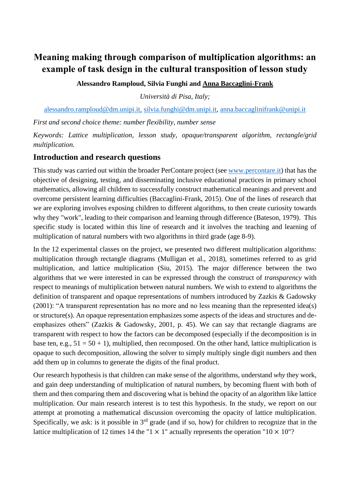# **Meaning making through comparison of multiplication algorithms: an example of task design in the cultural transposition of lesson study**

**Alessandro Ramploud, Silvia Funghi and Anna Baccaglini-Frank**

*Università di Pisa, Italy;* 

[alessandro.ramploud@dm.unipi.it,](mailto:alessandro.ramploud@dm.unipi.it) [silvia.funghi@dm.unipi.it,](mailto:silvia.funghi@dm.unipi.it) [anna.baccaglinifrank@unipi.it](mailto:anna.baccaglinifrank@unipi.it)

*First and second choice theme: number flexibility, number sense*

*Keywords: Lattice multiplication, lesson study, opaque/transparent algorithm, rectangle/grid multiplication.*

#### **Introduction and research questions**

This study was carried out within the broader PerContare project (see [www.percontare.it\)](http://www.percontare.it/) that has the objective of designing, testing, and disseminating inclusive educational practices in primary school mathematics, allowing all children to successfully construct mathematical meanings and prevent and overcome persistent learning difficulties (Baccaglini-Frank, 2015). One of the lines of research that we are exploring involves exposing children to different algorithms, to then create curiosity towards why they "work", leading to their comparison and learning through difference (Bateson, 1979). This specific study is located within this line of research and it involves the teaching and learning of multiplication of natural numbers with two algorithms in third grade (age 8-9).

In the 12 experimental classes on the project, we presented two different multiplication algorithms: multiplication through rectangle diagrams (Mulligan et al., 2018), sometimes referred to as grid multiplication, and lattice multiplication (Siu, 2015). The major difference between the two algorithms that we were interested in can be expressed through the construct of *transparency* with respect to meanings of multiplication between natural numbers. We wish to extend to algorithms the definition of transparent and opaque representations of numbers introduced by Zazkis & Gadowsky (2001): "A transparent representation has no more and no less meaning than the represented idea(s) or structure(s). An opaque representation emphasizes some aspects of the ideas and structures and deemphasizes others" (Zazkis & Gadowsky, 2001, p. 45). We can say that rectangle diagrams are transparent with respect to how the factors can be decomposed (especially if the decomposition is in base ten, e.g.,  $51 = 50 + 1$ ), multiplied, then recomposed. On the other hand, lattice multiplication is opaque to such decomposition, allowing the solver to simply multiply single digit numbers and then add them up in columns to generate the digits of the final product.

Our research hypothesis is that children can make sense of the algorithms, understand *why* they work, and gain deep understanding of multiplication of natural numbers, by becoming fluent with both of them and then comparing them and discovering what is behind the opacity of an algorithm like lattice multiplication. Our main research interest is to test this hypothesis. In the study, we report on our attempt at promoting a mathematical discussion overcoming the opacity of lattice multiplication. Specifically, we ask: is it possible in  $3<sup>rd</sup>$  grade (and if so, how) for children to recognize that in the lattice multiplication of 12 times 14 the "1  $\times$  1" actually represents the operation "10  $\times$  10"?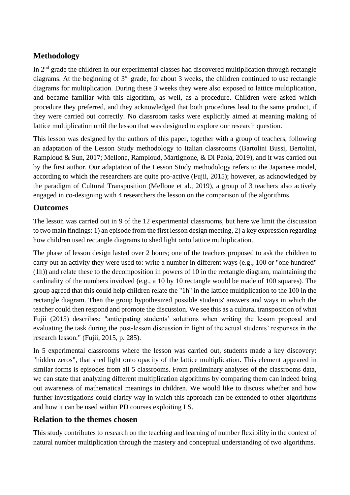## **Methodology**

In 2nd grade the children in our experimental classes had discovered multiplication through rectangle diagrams. At the beginning of  $3<sup>rd</sup>$  grade, for about 3 weeks, the children continued to use rectangle diagrams for multiplication. During these 3 weeks they were also exposed to lattice multiplication, and became familiar with this algorithm, as well, as a procedure. Children were asked which procedure they preferred, and they acknowledged that both procedures lead to the same product, if they were carried out correctly. No classroom tasks were explicitly aimed at meaning making of lattice multiplication until the lesson that was designed to explore our research question.

This lesson was designed by the authors of this paper, together with a group of teachers, following an adaptation of the Lesson Study methodology to Italian classrooms (Bartolini Bussi, Bertolini, Ramploud & Sun, 2017; Mellone, Ramploud, Martignone, & Di Paola, 2019), and it was carried out by the first author. Our adaptation of the Lesson Study methodology refers to the Japanese model, according to which the researchers are quite pro-active (Fujii, 2015); however, as acknowledged by the paradigm of Cultural Transposition (Mellone et al., 2019), a group of 3 teachers also actively engaged in co-designing with 4 researchers the lesson on the comparison of the algorithms.

### **Outcomes**

The lesson was carried out in 9 of the 12 experimental classrooms, but here we limit the discussion to two main findings: 1) an episode from the first lesson design meeting, 2) a key expression regarding how children used rectangle diagrams to shed light onto lattice multiplication.

The phase of lesson design lasted over 2 hours; one of the teachers proposed to ask the children to carry out an activity they were used to: write a number in different ways (e.g., 100 or "one hundred" (1h)) and relate these to the decomposition in powers of 10 in the rectangle diagram, maintaining the cardinality of the numbers involved (e.g., a 10 by 10 rectangle would be made of 100 squares). The group agreed that this could help children relate the "1h" in the lattice multiplication to the 100 in the rectangle diagram. Then the group hypothesized possible students' answers and ways in which the teacher could then respond and promote the discussion. We see this as a cultural transposition of what Fujii (2015) describes: "anticipating students' solutions when writing the lesson proposal and evaluating the task during the post-lesson discussion in light of the actual students' responses in the research lesson." (Fujii, 2015, p. 285).

In 5 experimental classrooms where the lesson was carried out, students made a key discovery: "hidden zeros", that shed light onto opacity of the lattice multiplication. This element appeared in similar forms is episodes from all 5 classrooms. From preliminary analyses of the classrooms data, we can state that analyzing different multiplication algorithms by comparing them can indeed bring out awareness of mathematical meanings in children. We would like to discuss whether and how further investigations could clarify way in which this approach can be extended to other algorithms and how it can be used within PD courses exploiting LS.

## **Relation to the themes chosen**

This study contributes to research on the teaching and learning of number flexibility in the context of natural number multiplication through the mastery and conceptual understanding of two algorithms.